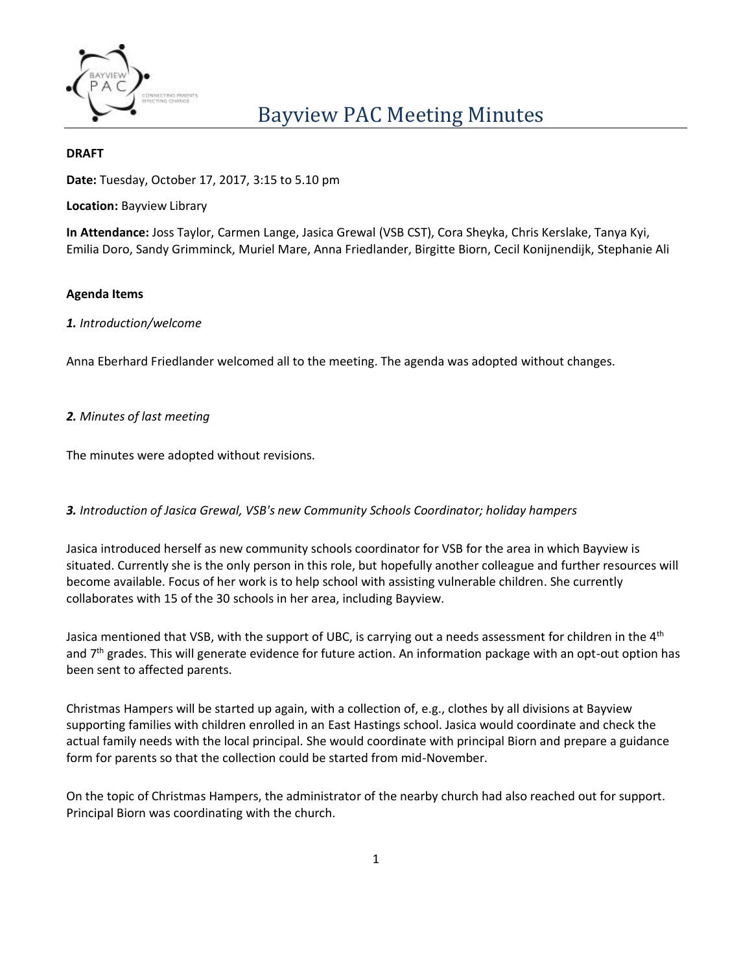

#### **DRAFT**

**Date:** Tuesday, October 17, 2017, 3:15 to 5.10 pm

**Location:** Bayview Library

**In Attendance:** Joss Taylor, Carmen Lange, Jasica Grewal (VSB CST), Cora Sheyka, Chris Kerslake, Tanya Kyi, Emilia Doro, Sandy Grimminck, Muriel Mare, Anna Friedlander, Birgitte Biorn, Cecil Konijnendijk, Stephanie Ali

#### **Agenda Items**

#### *1. Introduction/welcome*

Anna Eberhard Friedlander welcomed all to the meeting. The agenda was adopted without changes.

## *2. Minutes of last meeting*

The minutes were adopted without revisions.

## *3. Introduction of Jasica Grewal, VSB's new Community Schools Coordinator; holiday hampers*

Jasica introduced herself as new community schools coordinator for VSB for the area in which Bayview is situated. Currently she is the only person in this role, but hopefully another colleague and further resources will become available. Focus of her work is to help school with assisting vulnerable children. She currently collaborates with 15 of the 30 schools in her area, including Bayview.

Jasica mentioned that VSB, with the support of UBC, is carrying out a needs assessment for children in the 4<sup>th</sup> and  $7<sup>th</sup>$  grades. This will generate evidence for future action. An information package with an opt-out option has been sent to affected parents.

Christmas Hampers will be started up again, with a collection of, e.g., clothes by all divisions at Bayview supporting families with children enrolled in an East Hastings school. Jasica would coordinate and check the actual family needs with the local principal. She would coordinate with principal Biorn and prepare a guidance form for parents so that the collection could be started from mid-November.

On the topic of Christmas Hampers, the administrator of the nearby church had also reached out for support. Principal Biorn was coordinating with the church.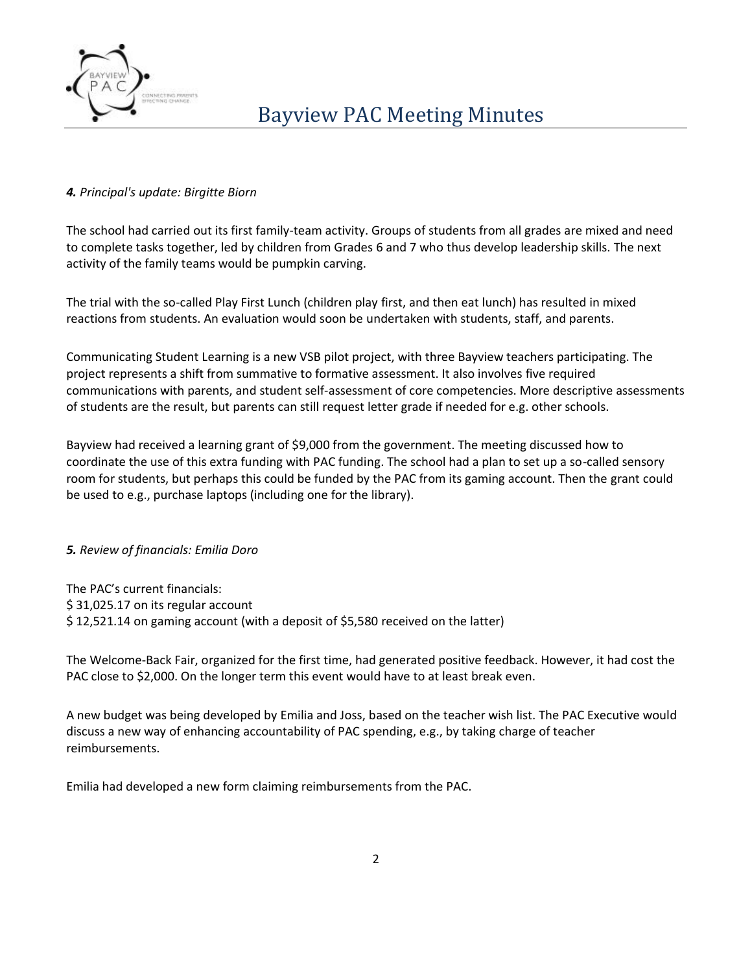

# *4. Principal's update: Birgitte Biorn*

The school had carried out its first family-team activity. Groups of students from all grades are mixed and need to complete tasks together, led by children from Grades 6 and 7 who thus develop leadership skills. The next activity of the family teams would be pumpkin carving.

The trial with the so-called Play First Lunch (children play first, and then eat lunch) has resulted in mixed reactions from students. An evaluation would soon be undertaken with students, staff, and parents.

Communicating Student Learning is a new VSB pilot project, with three Bayview teachers participating. The project represents a shift from summative to formative assessment. It also involves five required communications with parents, and student self-assessment of core competencies. More descriptive assessments of students are the result, but parents can still request letter grade if needed for e.g. other schools.

Bayview had received a learning grant of \$9,000 from the government. The meeting discussed how to coordinate the use of this extra funding with PAC funding. The school had a plan to set up a so-called sensory room for students, but perhaps this could be funded by the PAC from its gaming account. Then the grant could be used to e.g., purchase laptops (including one for the library).

## *5. Review of financials: Emilia Doro*

The PAC's current financials: \$31,025.17 on its regular account \$ 12,521.14 on gaming account (with a deposit of \$5,580 received on the latter)

The Welcome-Back Fair, organized for the first time, had generated positive feedback. However, it had cost the PAC close to \$2,000. On the longer term this event would have to at least break even.

A new budget was being developed by Emilia and Joss, based on the teacher wish list. The PAC Executive would discuss a new way of enhancing accountability of PAC spending, e.g., by taking charge of teacher reimbursements.

Emilia had developed a new form claiming reimbursements from the PAC.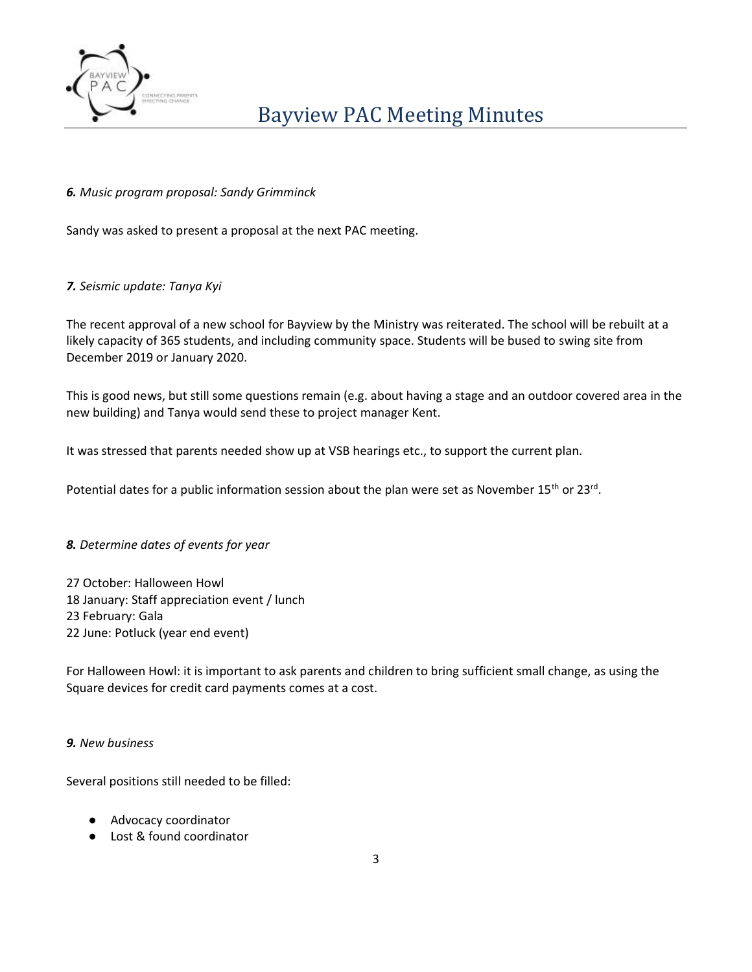

# *6. Music program proposal: Sandy Grimminck*

Sandy was asked to present a proposal at the next PAC meeting.

## *7. Seismic update: Tanya Kyi*

The recent approval of a new school for Bayview by the Ministry was reiterated. The school will be rebuilt at a likely capacity of 365 students, and including community space. Students will be bused to swing site from December 2019 or January 2020.

This is good news, but still some questions remain (e.g. about having a stage and an outdoor covered area in the new building) and Tanya would send these to project manager Kent.

It was stressed that parents needed show up at VSB hearings etc., to support the current plan.

Potential dates for a public information session about the plan were set as November 15<sup>th</sup> or 23<sup>rd</sup>.

## *8. Determine dates of events for year*

27 October: Halloween Howl 18 January: Staff appreciation event / lunch 23 February: Gala 22 June: Potluck (year end event)

For Halloween Howl: it is important to ask parents and children to bring sufficient small change, as using the Square devices for credit card payments comes at a cost.

## *9. New business*

Several positions still needed to be filled:

- Advocacy coordinator
- Lost & found coordinator